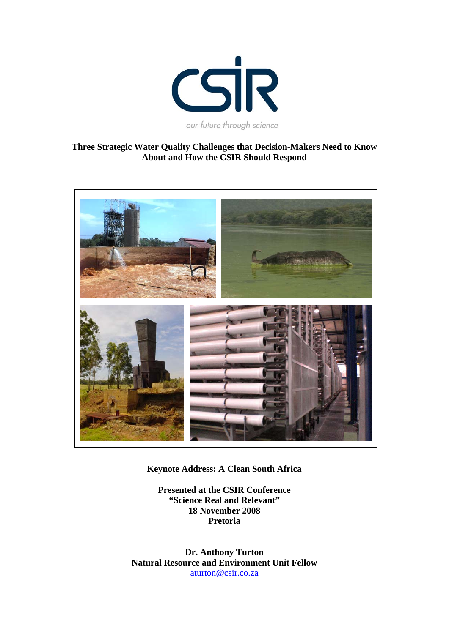

# **Three Strategic Water Quality Challenges that Decision-Makers Need to Know About and How the CSIR Should Respond**



**Keynote Address: A Clean South Africa** 

**Presented at the CSIR Conference "Science Real and Relevant" 18 November 2008 Pretoria** 

**Dr. Anthony Turton Natural Resource and Environment Unit Fellow**  aturton@csir.co.za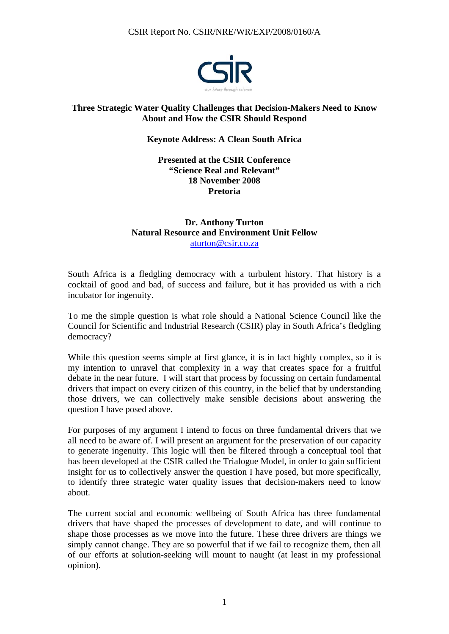

# **Three Strategic Water Quality Challenges that Decision-Makers Need to Know About and How the CSIR Should Respond**

### **Keynote Address: A Clean South Africa**

### **Presented at the CSIR Conference "Science Real and Relevant" 18 November 2008 Pretoria**

# **Dr. Anthony Turton Natural Resource and Environment Unit Fellow**  aturton@csir.co.za

South Africa is a fledgling democracy with a turbulent history. That history is a cocktail of good and bad, of success and failure, but it has provided us with a rich incubator for ingenuity.

To me the simple question is what role should a National Science Council like the Council for Scientific and Industrial Research (CSIR) play in South Africa's fledgling democracy?

While this question seems simple at first glance, it is in fact highly complex, so it is my intention to unravel that complexity in a way that creates space for a fruitful debate in the near future. I will start that process by focussing on certain fundamental drivers that impact on every citizen of this country, in the belief that by understanding those drivers, we can collectively make sensible decisions about answering the question I have posed above.

For purposes of my argument I intend to focus on three fundamental drivers that we all need to be aware of. I will present an argument for the preservation of our capacity to generate ingenuity. This logic will then be filtered through a conceptual tool that has been developed at the CSIR called the Trialogue Model, in order to gain sufficient insight for us to collectively answer the question I have posed, but more specifically, to identify three strategic water quality issues that decision-makers need to know about.

The current social and economic wellbeing of South Africa has three fundamental drivers that have shaped the processes of development to date, and will continue to shape those processes as we move into the future. These three drivers are things we simply cannot change. They are so powerful that if we fail to recognize them, then all of our efforts at solution-seeking will mount to naught (at least in my professional opinion).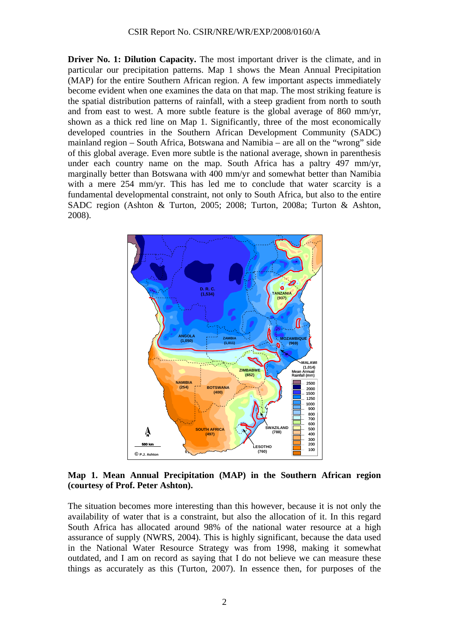**Driver No. 1: Dilution Capacity.** The most important driver is the climate, and in particular our precipitation patterns. Map 1 shows the Mean Annual Precipitation (MAP) for the entire Southern African region. A few important aspects immediately become evident when one examines the data on that map. The most striking feature is the spatial distribution patterns of rainfall, with a steep gradient from north to south and from east to west. A more subtle feature is the global average of 860 mm/yr, shown as a thick red line on Map 1. Significantly, three of the most economically developed countries in the Southern African Development Community (SADC) mainland region – South Africa, Botswana and Namibia – are all on the "wrong" side of this global average. Even more subtle is the national average, shown in parenthesis under each country name on the map. South Africa has a paltry 497 mm/yr, marginally better than Botswana with 400 mm/yr and somewhat better than Namibia with a mere 254 mm/yr. This has led me to conclude that water scarcity is a fundamental developmental constraint, not only to South Africa, but also to the entire SADC region (Ashton & Turton, 2005; 2008; Turton, 2008a; Turton & Ashton, 2008).



### **Map 1. Mean Annual Precipitation (MAP) in the Southern African region (courtesy of Prof. Peter Ashton).**

The situation becomes more interesting than this however, because it is not only the availability of water that is a constraint, but also the allocation of it. In this regard South Africa has allocated around 98% of the national water resource at a high assurance of supply (NWRS, 2004). This is highly significant, because the data used in the National Water Resource Strategy was from 1998, making it somewhat outdated, and I am on record as saying that I do not believe we can measure these things as accurately as this (Turton, 2007). In essence then, for purposes of the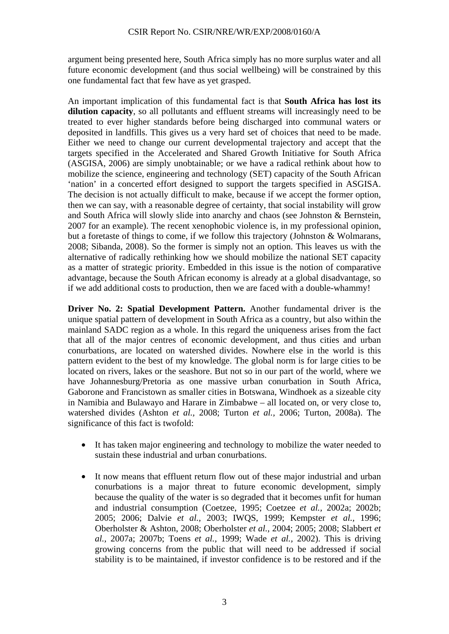argument being presented here, South Africa simply has no more surplus water and all future economic development (and thus social wellbeing) will be constrained by this one fundamental fact that few have as yet grasped.

An important implication of this fundamental fact is that **South Africa has lost its dilution capacity**, so all pollutants and effluent streams will increasingly need to be treated to ever higher standards before being discharged into communal waters or deposited in landfills. This gives us a very hard set of choices that need to be made. Either we need to change our current developmental trajectory and accept that the targets specified in the Accelerated and Shared Growth Initiative for South Africa (ASGISA, 2006) are simply unobtainable; or we have a radical rethink about how to mobilize the science, engineering and technology (SET) capacity of the South African 'nation' in a concerted effort designed to support the targets specified in ASGISA. The decision is not actually difficult to make, because if we accept the former option, then we can say, with a reasonable degree of certainty, that social instability will grow and South Africa will slowly slide into anarchy and chaos (see Johnston & Bernstein, 2007 for an example). The recent xenophobic violence is, in my professional opinion, but a foretaste of things to come, if we follow this trajectory (Johnston & Wolmarans, 2008; Sibanda, 2008). So the former is simply not an option. This leaves us with the alternative of radically rethinking how we should mobilize the national SET capacity as a matter of strategic priority. Embedded in this issue is the notion of comparative advantage, because the South African economy is already at a global disadvantage, so if we add additional costs to production, then we are faced with a double-whammy!

**Driver No. 2: Spatial Development Pattern.** Another fundamental driver is the unique spatial pattern of development in South Africa as a country, but also within the mainland SADC region as a whole. In this regard the uniqueness arises from the fact that all of the major centres of economic development, and thus cities and urban conurbations, are located on watershed divides. Nowhere else in the world is this pattern evident to the best of my knowledge. The global norm is for large cities to be located on rivers, lakes or the seashore. But not so in our part of the world, where we have Johannesburg/Pretoria as one massive urban conurbation in South Africa, Gaborone and Francistown as smaller cities in Botswana, Windhoek as a sizeable city in Namibia and Bulawayo and Harare in Zimbabwe – all located on, or very close to, watershed divides (Ashton *et al.,* 2008; Turton *et al.,* 2006; Turton, 2008a). The significance of this fact is twofold:

- It has taken major engineering and technology to mobilize the water needed to sustain these industrial and urban conurbations.
- It now means that effluent return flow out of these major industrial and urban conurbations is a major threat to future economic development, simply because the quality of the water is so degraded that it becomes unfit for human and industrial consumption (Coetzee, 1995; Coetzee *et al.,* 2002a; 2002b; 2005; 2006; Dalvie *et al.,* 2003; IWQS, 1999; Kempster *et al.,* 1996; Oberholster & Ashton, 2008; Oberholster *et al.,* 2004; 2005; 2008; Slabbert *et al.,* 2007a; 2007b; Toens *et al.,* 1999; Wade *et al.,* 2002). This is driving growing concerns from the public that will need to be addressed if social stability is to be maintained, if investor confidence is to be restored and if the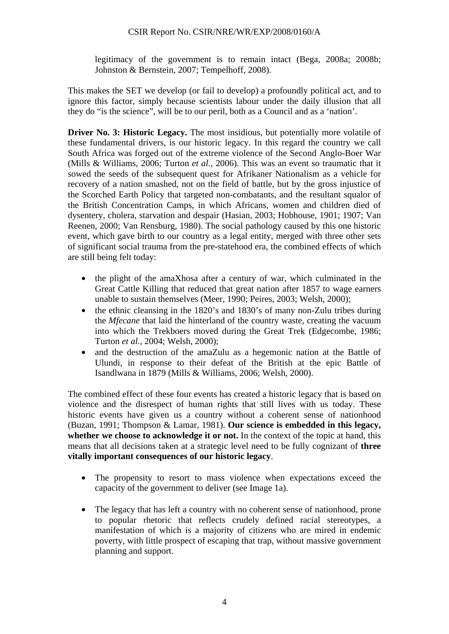legitimacy of the government is to remain intact (Bega, 2008a; 2008b; Johnston & Bernstein, 2007; Tempelhoff, 2008).

This makes the SET we develop (or fail to develop) a profoundly political act, and to ignore this factor, simply because scientists labour under the daily illusion that all they do "is the science", will be to our peril, both as a Council and as a 'nation'.

**Driver No. 3: Historic Legacy.** The most insidious, but potentially more volatile of these fundamental drivers, is our historic legacy. In this regard the country we call South Africa was forged out of the extreme violence of the Second Anglo-Boer War (Mills & Williams, 2006; Turton *et al.,* 2006). This was an event so traumatic that it sowed the seeds of the subsequent quest for Afrikaner Nationalism as a vehicle for recovery of a nation smashed, not on the field of battle, but by the gross injustice of the Scorched Earth Policy that targeted non-combatants, and the resultant squalor of the British Concentration Camps, in which Africans, women and children died of dysentery, cholera, starvation and despair (Hasian, 2003; Hobhouse, 1901; 1907; Van Reenen, 2000; Van Rensburg, 1980). The social pathology caused by this one historic event, which gave birth to our country as a legal entity, merged with three other sets of significant social trauma from the pre-statehood era, the combined effects of which are still being felt today:

- the plight of the amaXhosa after a century of war, which culminated in the Great Cattle Killing that reduced that great nation after 1857 to wage earners unable to sustain themselves (Meer, 1990; Peires, 2003; Welsh, 2000);
- the ethnic cleansing in the 1820's and 1830's of many non-Zulu tribes during the *Mfecane* that laid the hinterland of the country waste, creating the vacuum into which the Trekboers moved during the Great Trek (Edgecombe, 1986; Turton *et al.,* 2004; Welsh, 2000);
- and the destruction of the amaZulu as a hegemonic nation at the Battle of Ulundi, in response to their defeat of the British at the epic Battle of Isandlwana in 1879 (Mills & Williams, 2006; Welsh, 2000).

The combined effect of these four events has created a historic legacy that is based on violence and the disrespect of human rights that still lives with us today. These historic events have given us a country without a coherent sense of nationhood (Buzan, 1991; Thompson & Lamar, 1981). **Our science is embedded in this legacy, whether we choose to acknowledge it or not.** In the context of the topic at hand, this means that all decisions taken at a strategic level need to be fully cognizant of **three vitally important consequences of our historic legacy**.

- The propensity to resort to mass violence when expectations exceed the capacity of the government to deliver (see Image 1a).
- The legacy that has left a country with no coherent sense of nation hood, prone to popular rhetoric that reflects crudely defined racial stereotypes, a manifestation of which is a majority of citizens who are mired in endemic poverty, with little prospect of escaping that trap, without massive government planning and support.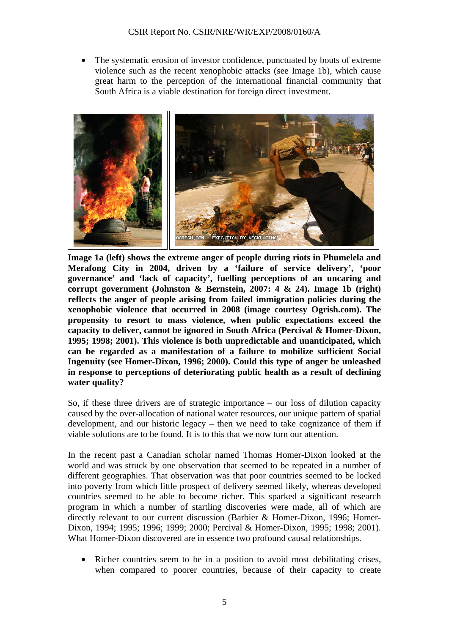The systematic erosion of investor confidence, punctuated by bouts of extreme violence such as the recent xenophobic attacks (see Image 1b), which cause great harm to the perception of the international financial community that South Africa is a viable destination for foreign direct investment.



**Image 1a (left) shows the extreme anger of people during riots in Phumelela and Merafong City in 2004, driven by a 'failure of service delivery', 'poor governance' and 'lack of capacity', fuelling perceptions of an uncaring and corrupt government (Johnston & Bernstein, 2007: 4 & 24). Image 1b (right) reflects the anger of people arising from failed immigration policies during the xenophobic violence that occurred in 2008 (image courtesy Ogrish.com). The propensity to resort to mass violence, when public expectations exceed the capacity to deliver, cannot be ignored in South Africa (Percival & Homer-Dixon, 1995; 1998; 2001). This violence is both unpredictable and unanticipated, which can be regarded as a manifestation of a failure to mobilize sufficient Social Ingenuity (see Homer-Dixon, 1996; 2000). Could this type of anger be unleashed in response to perceptions of deteriorating public health as a result of declining water quality?** 

So, if these three drivers are of strategic importance – our loss of dilution capacity caused by the over-allocation of national water resources, our unique pattern of spatial development, and our historic legacy – then we need to take cognizance of them if viable solutions are to be found. It is to this that we now turn our attention.

In the recent past a Canadian scholar named Thomas Homer-Dixon looked at the world and was struck by one observation that seemed to be repeated in a number of different geographies. That observation was that poor countries seemed to be locked into poverty from which little prospect of delivery seemed likely, whereas developed countries seemed to be able to become richer. This sparked a significant research program in which a number of startling discoveries were made, all of which are directly relevant to our current discussion (Barbier & Homer-Dixon, 1996; Homer-Dixon, 1994; 1995; 1996; 1999; 2000; Percival & Homer-Dixon, 1995; 1998; 2001). What Homer-Dixon discovered are in essence two profound causal relationships.

Richer countries seem to be in a position to avoid most debilitating crises, when compared to poorer countries, because of their capacity to create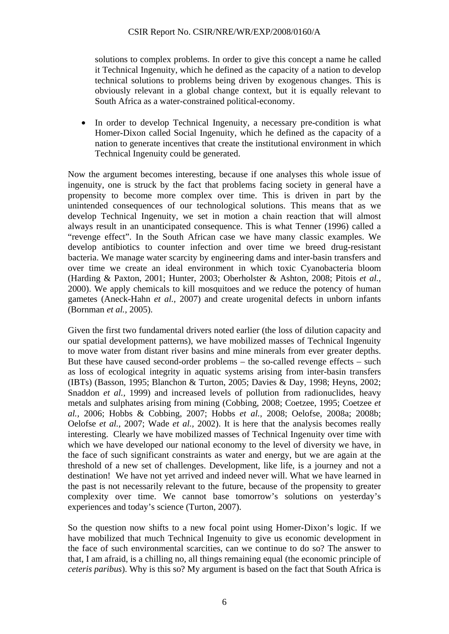solutions to complex problems. In order to give this concept a name he called it Technical Ingenuity, which he defined as the capacity of a nation to develop technical solutions to problems being driven by exogenous changes. This is obviously relevant in a global change context, but it is equally relevant to South Africa as a water-constrained political-economy.

In order to develop Technical Ingenuity, a necessary pre-condition is what Homer-Dixon called Social Ingenuity, which he defined as the capacity of a nation to generate incentives that create the institutional environment in which Technical Ingenuity could be generated.

Now the argument becomes interesting, because if one analyses this whole issue of ingenuity, one is struck by the fact that problems facing society in general have a propensity to become more complex over time. This is driven in part by the unintended consequences of our technological solutions. This means that as we develop Technical Ingenuity, we set in motion a chain reaction that will almost always result in an unanticipated consequence. This is what Tenner (1996) called a "revenge effect". In the South African case we have many classic examples. We develop antibiotics to counter infection and over time we breed drug-resistant bacteria. We manage water scarcity by engineering dams and inter-basin transfers and over time we create an ideal environment in which toxic Cyanobacteria bloom (Harding & Paxton, 2001; Hunter, 2003; Oberholster & Ashton, 2008; Pitois *et al.,* 2000). We apply chemicals to kill mosquitoes and we reduce the potency of human gametes (Aneck-Hahn *et al.,* 2007) and create urogenital defects in unborn infants (Bornman *et al.,* 2005).

Given the first two fundamental drivers noted earlier (the loss of dilution capacity and our spatial development patterns), we have mobilized masses of Technical Ingenuity to move water from distant river basins and mine minerals from ever greater depths. But these have caused second-order problems – the so-called revenge effects – such as loss of ecological integrity in aquatic systems arising from inter-basin transfers (IBTs) (Basson, 1995; Blanchon & Turton, 2005; Davies & Day, 1998; Heyns, 2002; Snaddon *et al.,* 1999) and increased levels of pollution from radionuclides, heavy metals and sulphates arising from mining (Cobbing, 2008; Coetzee, 1995; Coetzee *et al.,* 2006; Hobbs & Cobbing, 2007; Hobbs *et al.,* 2008; Oelofse, 2008a; 2008b; Oelofse *et al.,* 2007; Wade *et al.,* 2002). It is here that the analysis becomes really interesting. Clearly we have mobilized masses of Technical Ingenuity over time with which we have developed our national economy to the level of diversity we have, in the face of such significant constraints as water and energy, but we are again at the threshold of a new set of challenges. Development, like life, is a journey and not a destination! We have not yet arrived and indeed never will. What we have learned in the past is not necessarily relevant to the future, because of the propensity to greater complexity over time. We cannot base tomorrow's solutions on yesterday's experiences and today's science (Turton, 2007).

So the question now shifts to a new focal point using Homer-Dixon's logic. If we have mobilized that much Technical Ingenuity to give us economic development in the face of such environmental scarcities, can we continue to do so? The answer to that, I am afraid, is a chilling no, all things remaining equal (the economic principle of *ceteris paribus*). Why is this so? My argument is based on the fact that South Africa is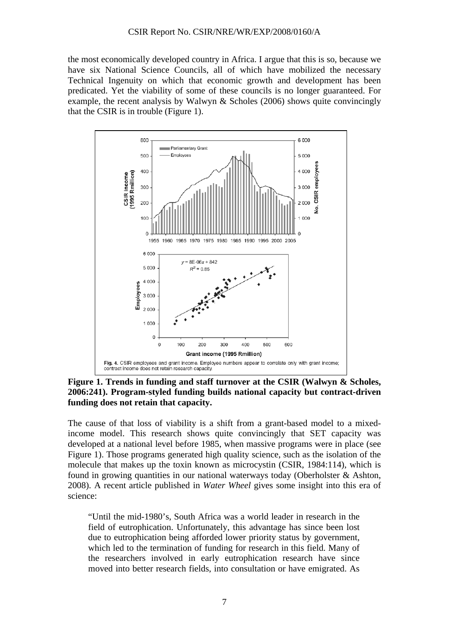the most economically developed country in Africa. I argue that this is so, because we have six National Science Councils, all of which have mobilized the necessary Technical Ingenuity on which that economic growth and development has been predicated. Yet the viability of some of these councils is no longer guaranteed. For example, the recent analysis by Walwyn  $\&$  Scholes (2006) shows quite convincingly that the CSIR is in trouble (Figure 1).



**Figure 1. Trends in funding and staff turnover at the CSIR (Walwyn & Scholes, 2006:241). Program-styled funding builds national capacity but contract-driven funding does not retain that capacity.** 

The cause of that loss of viability is a shift from a grant-based model to a mixedincome model. This research shows quite convincingly that SET capacity was developed at a national level before 1985, when massive programs were in place (see Figure 1). Those programs generated high quality science, such as the isolation of the molecule that makes up the toxin known as microcystin (CSIR, 1984:114), which is found in growing quantities in our national waterways today (Oberholster & Ashton, 2008). A recent article published in *Water Wheel* gives some insight into this era of science:

"Until the mid-1980's, South Africa was a world leader in research in the field of eutrophication. Unfortunately, this advantage has since been lost due to eutrophication being afforded lower priority status by government, which led to the termination of funding for research in this field. Many of the researchers involved in early eutrophication research have since moved into better research fields, into consultation or have emigrated. As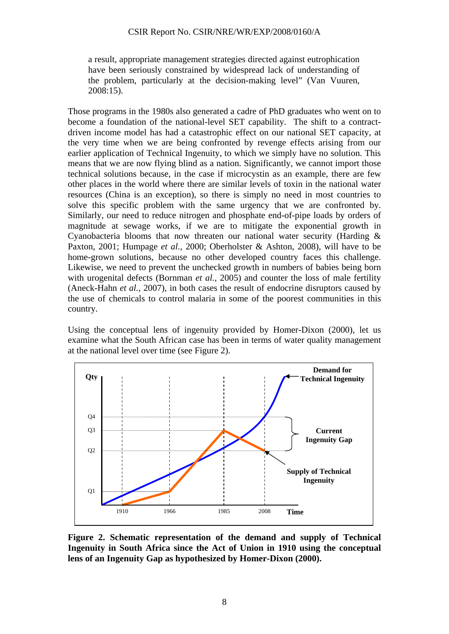a result, appropriate management strategies directed against eutrophication have been seriously constrained by widespread lack of understanding of the problem, particularly at the decision-making level" (Van Vuuren, 2008:15).

Those programs in the 1980s also generated a cadre of PhD graduates who went on to become a foundation of the national-level SET capability. The shift to a contractdriven income model has had a catastrophic effect on our national SET capacity, at the very time when we are being confronted by revenge effects arising from our earlier application of Technical Ingenuity, to which we simply have no solution. This means that we are now flying blind as a nation. Significantly, we cannot import those technical solutions because, in the case if microcystin as an example, there are few other places in the world where there are similar levels of toxin in the national water resources (China is an exception), so there is simply no need in most countries to solve this specific problem with the same urgency that we are confronted by. Similarly, our need to reduce nitrogen and phosphate end-of-pipe loads by orders of magnitude at sewage works, if we are to mitigate the exponential growth in Cyanobacteria blooms that now threaten our national water security (Harding & Paxton, 2001; Humpage *et al.,* 2000; Oberholster & Ashton, 2008), will have to be home-grown solutions, because no other developed country faces this challenge. Likewise, we need to prevent the unchecked growth in numbers of babies being born with urogenital defects (Bornman *et al.,* 2005) and counter the loss of male fertility (Aneck-Hahn *et al.,* 2007), in both cases the result of endocrine disruptors caused by the use of chemicals to control malaria in some of the poorest communities in this country.

Using the conceptual lens of ingenuity provided by Homer-Dixon (2000), let us examine what the South African case has been in terms of water quality management at the national level over time (see Figure 2).



**Figure 2. Schematic representation of the demand and supply of Technical Ingenuity in South Africa since the Act of Union in 1910 using the conceptual lens of an Ingenuity Gap as hypothesized by Homer-Dixon (2000).**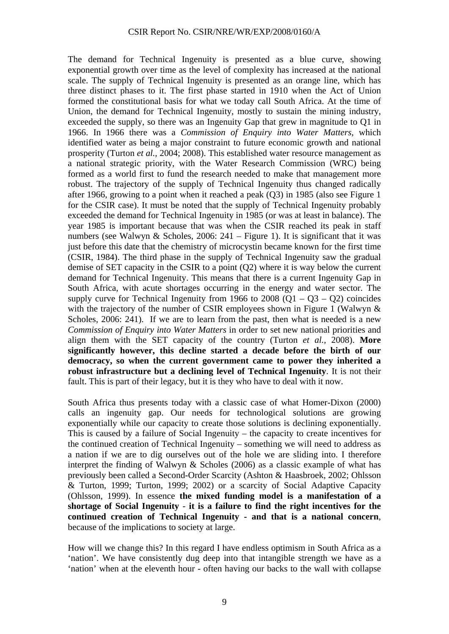The demand for Technical Ingenuity is presented as a blue curve, showing exponential growth over time as the level of complexity has increased at the national scale. The supply of Technical Ingenuity is presented as an orange line, which has three distinct phases to it. The first phase started in 1910 when the Act of Union formed the constitutional basis for what we today call South Africa. At the time of Union, the demand for Technical Ingenuity, mostly to sustain the mining industry, exceeded the supply, so there was an Ingenuity Gap that grew in magnitude to Q1 in 1966. In 1966 there was a *Commission of Enquiry into Water Matters*, which identified water as being a major constraint to future economic growth and national prosperity (Turton *et al.,* 2004; 2008). This established water resource management as a national strategic priority, with the Water Research Commission (WRC) being formed as a world first to fund the research needed to make that management more robust. The trajectory of the supply of Technical Ingenuity thus changed radically after 1966, growing to a point when it reached a peak (Q3) in 1985 (also see Figure 1 for the CSIR case). It must be noted that the supply of Technical Ingenuity probably exceeded the demand for Technical Ingenuity in 1985 (or was at least in balance). The year 1985 is important because that was when the CSIR reached its peak in staff numbers (see Walwyn & Scholes, 2006: 241 – Figure 1). It is significant that it was just before this date that the chemistry of microcystin became known for the first time (CSIR, 1984). The third phase in the supply of Technical Ingenuity saw the gradual demise of SET capacity in the CSIR to a point (Q2) where it is way below the current demand for Technical Ingenuity. This means that there is a current Ingenuity Gap in South Africa, with acute shortages occurring in the energy and water sector. The supply curve for Technical Ingenuity from 1966 to  $2008 (Q1 - Q3 - Q2)$  coincides with the trajectory of the number of CSIR employees shown in Figure 1 (Walwyn  $\&$ Scholes, 2006: 241). If we are to learn from the past, then what is needed is a new *Commission of Enquiry into Water Matters* in order to set new national priorities and align them with the SET capacity of the country (Turton *et al.,* 2008). **More significantly however, this decline started a decade before the birth of our democracy, so when the current government came to power they inherited a robust infrastructure but a declining level of Technical Ingenuity**. It is not their fault. This is part of their legacy, but it is they who have to deal with it now.

South Africa thus presents today with a classic case of what Homer-Dixon (2000) calls an ingenuity gap. Our needs for technological solutions are growing exponentially while our capacity to create those solutions is declining exponentially. This is caused by a failure of Social Ingenuity – the capacity to create incentives for the continued creation of Technical Ingenuity – something we will need to address as a nation if we are to dig ourselves out of the hole we are sliding into. I therefore interpret the finding of Walwyn & Scholes (2006) as a classic example of what has previously been called a Second-Order Scarcity (Ashton & Haasbroek, 2002; Ohlsson & Turton, 1999; Turton, 1999; 2002) or a scarcity of Social Adaptive Capacity (Ohlsson, 1999). In essence **the mixed funding model is a manifestation of a shortage of Social Ingenuity** - **it is a failure to find the right incentives for the continued creation of Technical Ingenuity - and that is a national concern**, because of the implications to society at large.

How will we change this? In this regard I have endless optimism in South Africa as a 'nation'. We have consistently dug deep into that intangible strength we have as a 'nation' when at the eleventh hour - often having our backs to the wall with collapse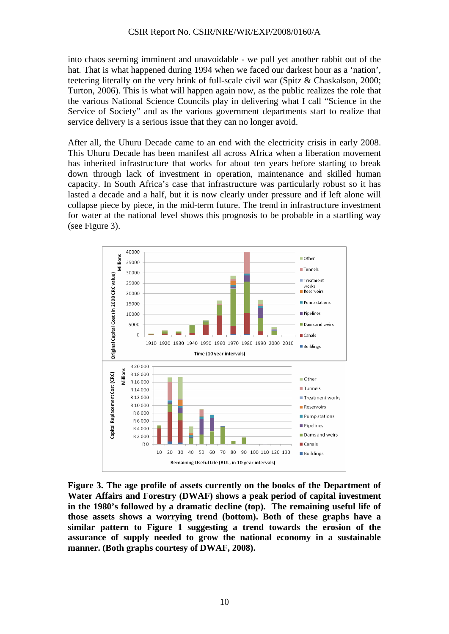into chaos seeming imminent and unavoidable - we pull yet another rabbit out of the hat. That is what happened during 1994 when we faced our darkest hour as a 'nation', teetering literally on the very brink of full-scale civil war (Spitz & Chaskalson, 2000; Turton, 2006). This is what will happen again now, as the public realizes the role that the various National Science Councils play in delivering what I call "Science in the Service of Society" and as the various government departments start to realize that service delivery is a serious issue that they can no longer avoid.

After all, the Uhuru Decade came to an end with the electricity crisis in early 2008. This Uhuru Decade has been manifest all across Africa when a liberation movement has inherited infrastructure that works for about ten years before starting to break down through lack of investment in operation, maintenance and skilled human capacity. In South Africa's case that infrastructure was particularly robust so it has lasted a decade and a half, but it is now clearly under pressure and if left alone will collapse piece by piece, in the mid-term future. The trend in infrastructure investment for water at the national level shows this prognosis to be probable in a startling way (see Figure 3).



**Figure 3. The age profile of assets currently on the books of the Department of Water Affairs and Forestry (DWAF) shows a peak period of capital investment in the 1980's followed by a dramatic decline (top). The remaining useful life of those assets shows a worrying trend (bottom). Both of these graphs have a similar pattern to Figure 1 suggesting a trend towards the erosion of the assurance of supply needed to grow the national economy in a sustainable manner. (Both graphs courtesy of DWAF, 2008).**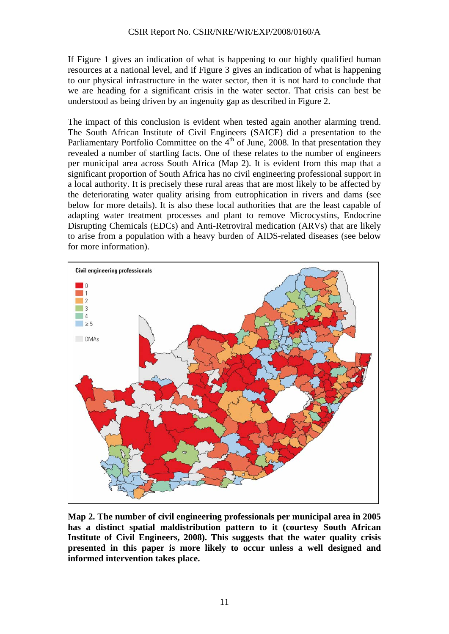If Figure 1 gives an indication of what is happening to our highly qualified human resources at a national level, and if Figure 3 gives an indication of what is happening to our physical infrastructure in the water sector, then it is not hard to conclude that we are heading for a significant crisis in the water sector. That crisis can best be understood as being driven by an ingenuity gap as described in Figure 2.

The impact of this conclusion is evident when tested again another alarming trend. The South African Institute of Civil Engineers (SAICE) did a presentation to the Parliamentary Portfolio Committee on the  $4<sup>th</sup>$  of June, 2008. In that presentation they revealed a number of startling facts. One of these relates to the number of engineers per municipal area across South Africa (Map 2). It is evident from this map that a significant proportion of South Africa has no civil engineering professional support in a local authority. It is precisely these rural areas that are most likely to be affected by the deteriorating water quality arising from eutrophication in rivers and dams (see below for more details). It is also these local authorities that are the least capable of adapting water treatment processes and plant to remove Microcystins, Endocrine Disrupting Chemicals (EDCs) and Anti-Retroviral medication (ARVs) that are likely to arise from a population with a heavy burden of AIDS-related diseases (see below for more information).



**Map 2. The number of civil engineering professionals per municipal area in 2005 has a distinct spatial maldistribution pattern to it (courtesy South African Institute of Civil Engineers, 2008). This suggests that the water quality crisis presented in this paper is more likely to occur unless a well designed and informed intervention takes place.**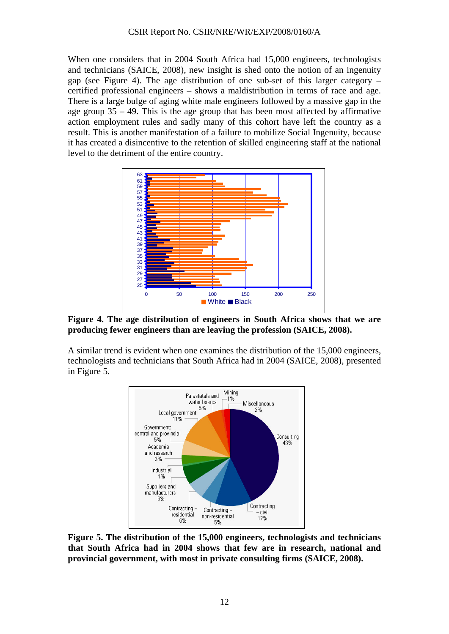When one considers that in 2004 South Africa had 15,000 engineers, technologists and technicians (SAICE, 2008), new insight is shed onto the notion of an ingenuity gap (see Figure 4). The age distribution of one sub-set of this larger category – certified professional engineers – shows a maldistribution in terms of race and age. There is a large bulge of aging white male engineers followed by a massive gap in the age group 35 – 49. This is the age group that has been most affected by affirmative action employment rules and sadly many of this cohort have left the country as a result. This is another manifestation of a failure to mobilize Social Ingenuity, because it has created a disincentive to the retention of skilled engineering staff at the national level to the detriment of the entire country.



**Figure 4. The age distribution of engineers in South Africa shows that we are producing fewer engineers than are leaving the profession (SAICE, 2008).** 

A similar trend is evident when one examines the distribution of the 15,000 engineers, technologists and technicians that South Africa had in 2004 (SAICE, 2008), presented in Figure 5.



**Figure 5. The distribution of the 15,000 engineers, technologists and technicians that South Africa had in 2004 shows that few are in research, national and provincial government, with most in private consulting firms (SAICE, 2008).**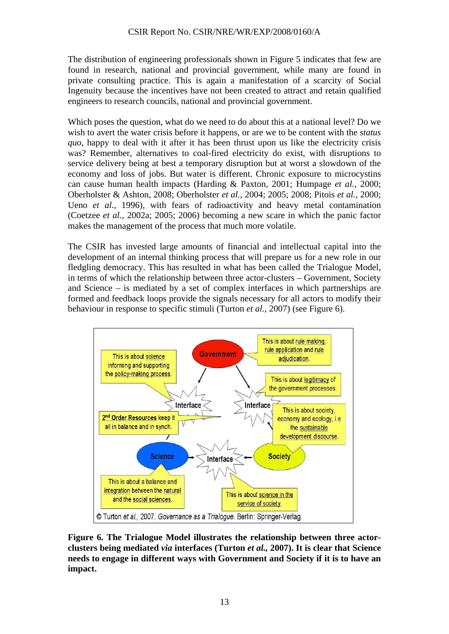The distribution of engineering professionals shown in Figure 5 indicates that few are found in research, national and provincial government, while many are found in private consulting practice. This is again a manifestation of a scarcity of Social Ingenuity because the incentives have not been created to attract and retain qualified engineers to research councils, national and provincial government.

Which poses the question, what do we need to do about this at a national level? Do we wish to avert the water crisis before it happens, or are we to be content with the *status quo*, happy to deal with it after it has been thrust upon us like the electricity crisis was? Remember, alternatives to coal-fired electricity do exist, with disruptions to service delivery being at best a temporary disruption but at worst a slowdown of the economy and loss of jobs. But water is different. Chronic exposure to microcystins can cause human health impacts (Harding & Paxton, 2001; Humpage *et al.,* 2000; Oberholster & Ashton, 2008; Oberholster *et al.,* 2004; 2005; 2008; Pitois *et al.,* 2000; Ueno *et al.,* 1996), with fears of radioactivity and heavy metal contamination (Coetzee *et al.,* 2002a; 2005; 2006) becoming a new scare in which the panic factor makes the management of the process that much more volatile.

The CSIR has invested large amounts of financial and intellectual capital into the development of an internal thinking process that will prepare us for a new role in our fledgling democracy. This has resulted in what has been called the Trialogue Model, in terms of which the relationship between three actor-clusters – Government, Society and Science – is mediated by a set of complex interfaces in which partnerships are formed and feedback loops provide the signals necessary for all actors to modify their behaviour in response to specific stimuli (Turton *et al.,* 2007) (see Figure 6).



**Figure 6. The Trialogue Model illustrates the relationship between three actorclusters being mediated** *via* **interfaces (Turton** *et al.,* **2007). It is clear that Science needs to engage in different ways with Government and Society if it is to have an impact.**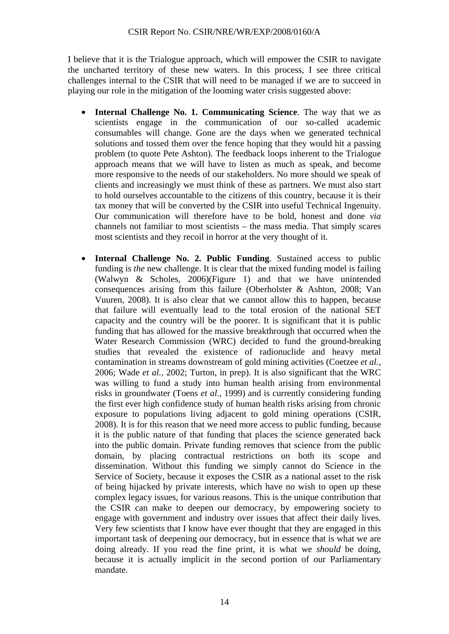I believe that it is the Trialogue approach, which will empower the CSIR to navigate the uncharted territory of these new waters. In this process, I see three critical challenges internal to the CSIR that will need to be managed if we are to succeed in playing our role in the mitigation of the looming water crisis suggested above:

- **Internal Challenge No. 1. Communicating Science**. The way that we as scientists engage in the communication of our so-called academic consumables will change. Gone are the days when we generated technical solutions and tossed them over the fence hoping that they would hit a passing problem (to quote Pete Ashton). The feedback loops inherent to the Trialogue approach means that we will have to listen as much as speak, and become more responsive to the needs of our stakeholders. No more should we speak of clients and increasingly we must think of these as partners. We must also start to hold ourselves accountable to the citizens of this country, because it is their tax money that will be converted by the CSIR into useful Technical Ingenuity. Our communication will therefore have to be bold, honest and done *via* channels not familiar to most scientists – the mass media. That simply scares most scientists and they recoil in horror at the very thought of it.
- **Internal Challenge No. 2. Public Funding**. Sustained access to public funding is *the* new challenge. It is clear that the mixed funding model is failing (Walwyn & Scholes, 2006)(Figure 1) and that we have unintended consequences arising from this failure (Oberholster & Ashton, 2008; Van Vuuren, 2008). It is also clear that we cannot allow this to happen, because that failure will eventually lead to the total erosion of the national SET capacity and the country will be the poorer. It is significant that it is public funding that has allowed for the massive breakthrough that occurred when the Water Research Commission (WRC) decided to fund the ground-breaking studies that revealed the existence of radionuclide and heavy metal contamination in streams downstream of gold mining activities (Coetzee *et al.,* 2006; Wade *et al.,* 2002; Turton, in prep). It is also significant that the WRC was willing to fund a study into human health arising from environmental risks in groundwater (Toens *et al.,* 1999) and is currently considering funding the first ever high confidence study of human health risks arising from chronic exposure to populations living adjacent to gold mining operations (CSIR, 2008). It is for this reason that we need more access to public funding, because it is the public nature of that funding that places the science generated back into the public domain. Private funding removes that science from the public domain, by placing contractual restrictions on both its scope and dissemination. Without this funding we simply cannot do Science in the Service of Society, because it exposes the CSIR as a national asset to the risk of being hijacked by private interests, which have no wish to open up these complex legacy issues, for various reasons. This is the unique contribution that the CSIR can make to deepen our democracy, by empowering society to engage with government and industry over issues that affect their daily lives. Very few scientists that I know have ever thought that they are engaged in this important task of deepening our democracy, but in essence that is what we are doing already. If you read the fine print, it is what we *should* be doing, because it is actually implicit in the second portion of our Parliamentary mandate.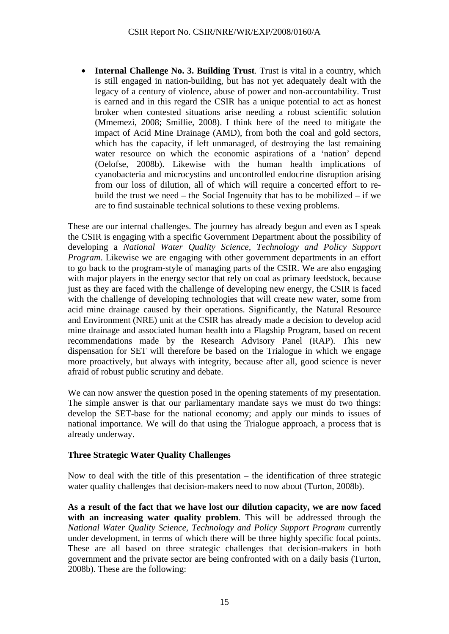• **Internal Challenge No. 3. Building Trust**. Trust is vital in a country, which is still engaged in nation-building, but has not yet adequately dealt with the legacy of a century of violence, abuse of power and non-accountability. Trust is earned and in this regard the CSIR has a unique potential to act as honest broker when contested situations arise needing a robust scientific solution (Mmemezi, 2008; Smillie, 2008). I think here of the need to mitigate the impact of Acid Mine Drainage (AMD), from both the coal and gold sectors, which has the capacity, if left unmanaged, of destroying the last remaining water resource on which the economic aspirations of a 'nation' depend (Oelofse, 2008b). Likewise with the human health implications of cyanobacteria and microcystins and uncontrolled endocrine disruption arising from our loss of dilution, all of which will require a concerted effort to rebuild the trust we need – the Social Ingenuity that has to be mobilized – if we are to find sustainable technical solutions to these vexing problems.

These are our internal challenges. The journey has already begun and even as I speak the CSIR is engaging with a specific Government Department about the possibility of developing a *National Water Quality Science, Technology and Policy Support Program*. Likewise we are engaging with other government departments in an effort to go back to the program-style of managing parts of the CSIR. We are also engaging with major players in the energy sector that rely on coal as primary feedstock, because just as they are faced with the challenge of developing new energy, the CSIR is faced with the challenge of developing technologies that will create new water, some from acid mine drainage caused by their operations. Significantly, the Natural Resource and Environment (NRE) unit at the CSIR has already made a decision to develop acid mine drainage and associated human health into a Flagship Program, based on recent recommendations made by the Research Advisory Panel (RAP). This new dispensation for SET will therefore be based on the Trialogue in which we engage more proactively, but always with integrity, because after all, good science is never afraid of robust public scrutiny and debate.

We can now answer the question posed in the opening statements of my presentation. The simple answer is that our parliamentary mandate says we must do two things: develop the SET-base for the national economy; and apply our minds to issues of national importance. We will do that using the Trialogue approach, a process that is already underway.

## **Three Strategic Water Quality Challenges**

Now to deal with the title of this presentation – the identification of three strategic water quality challenges that decision-makers need to now about (Turton, 2008b).

**As a result of the fact that we have lost our dilution capacity, we are now faced with an increasing water quality problem**. This will be addressed through the *National Water Quality Science, Technology and Policy Support Program* currently under development, in terms of which there will be three highly specific focal points. These are all based on three strategic challenges that decision-makers in both government and the private sector are being confronted with on a daily basis (Turton, 2008b). These are the following: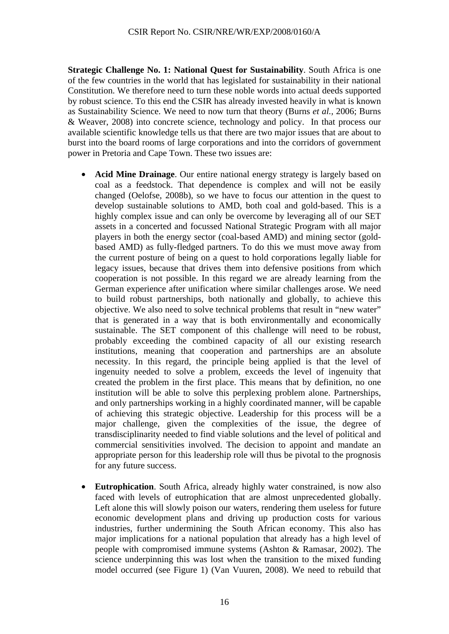**Strategic Challenge No. 1: National Quest for Sustainability**. South Africa is one of the few countries in the world that has legislated for sustainability in their national Constitution. We therefore need to turn these noble words into actual deeds supported by robust science. To this end the CSIR has already invested heavily in what is known as Sustainability Science. We need to now turn that theory (Burns *et al.,* 2006; Burns & Weaver, 2008) into concrete science, technology and policy. In that process our available scientific knowledge tells us that there are two major issues that are about to burst into the board rooms of large corporations and into the corridors of government power in Pretoria and Cape Town. These two issues are:

- **Acid Mine Drainage**. Our entire national energy strategy is largely based on coal as a feedstock. That dependence is complex and will not be easily changed (Oelofse, 2008b), so we have to focus our attention in the quest to develop sustainable solutions to AMD, both coal and gold-based. This is a highly complex issue and can only be overcome by leveraging all of our SET assets in a concerted and focussed National Strategic Program with all major players in both the energy sector (coal-based AMD) and mining sector (goldbased AMD) as fully-fledged partners. To do this we must move away from the current posture of being on a quest to hold corporations legally liable for legacy issues, because that drives them into defensive positions from which cooperation is not possible. In this regard we are already learning from the German experience after unification where similar challenges arose. We need to build robust partnerships, both nationally and globally, to achieve this objective. We also need to solve technical problems that result in "new water" that is generated in a way that is both environmentally and economically sustainable. The SET component of this challenge will need to be robust, probably exceeding the combined capacity of all our existing research institutions, meaning that cooperation and partnerships are an absolute necessity. In this regard, the principle being applied is that the level of ingenuity needed to solve a problem, exceeds the level of ingenuity that created the problem in the first place. This means that by definition, no one institution will be able to solve this perplexing problem alone. Partnerships, and only partnerships working in a highly coordinated manner, will be capable of achieving this strategic objective. Leadership for this process will be a major challenge, given the complexities of the issue, the degree of transdisciplinarity needed to find viable solutions and the level of political and commercial sensitivities involved. The decision to appoint and mandate an appropriate person for this leadership role will thus be pivotal to the prognosis for any future success.
- **Eutrophication**. South Africa, already highly water constrained, is now also faced with levels of eutrophication that are almost unprecedented globally. Left alone this will slowly poison our waters, rendering them useless for future economic development plans and driving up production costs for various industries, further undermining the South African economy. This also has major implications for a national population that already has a high level of people with compromised immune systems (Ashton & Ramasar, 2002). The science underpinning this was lost when the transition to the mixed funding model occurred (see Figure 1) (Van Vuuren, 2008). We need to rebuild that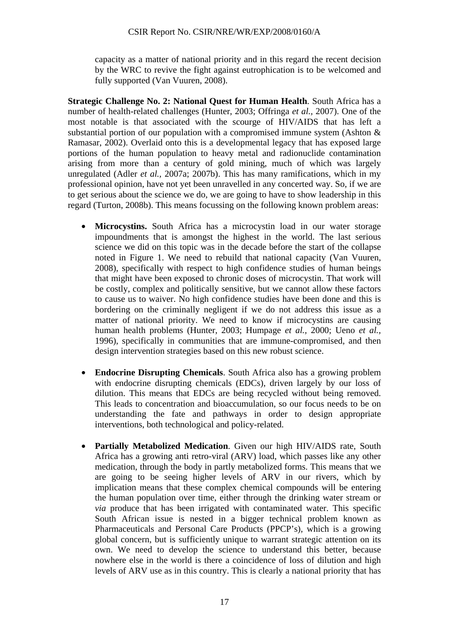capacity as a matter of national priority and in this regard the recent decision by the WRC to revive the fight against eutrophication is to be welcomed and fully supported (Van Vuuren, 2008).

**Strategic Challenge No. 2: National Quest for Human Health**. South Africa has a number of health-related challenges (Hunter, 2003; Offringa *et al.,* 2007). One of the most notable is that associated with the scourge of HIV/AIDS that has left a substantial portion of our population with a compromised immune system (Ashton & Ramasar, 2002). Overlaid onto this is a developmental legacy that has exposed large portions of the human population to heavy metal and radionuclide contamination arising from more than a century of gold mining, much of which was largely unregulated (Adler *et al.,* 2007a; 2007b). This has many ramifications, which in my professional opinion, have not yet been unravelled in any concerted way. So, if we are to get serious about the science we do, we are going to have to show leadership in this regard (Turton, 2008b). This means focussing on the following known problem areas:

- **Microcystins.** South Africa has a microcystin load in our water storage impoundments that is amongst the highest in the world. The last serious science we did on this topic was in the decade before the start of the collapse noted in Figure 1. We need to rebuild that national capacity (Van Vuuren, 2008), specifically with respect to high confidence studies of human beings that might have been exposed to chronic doses of microcystin. That work will be costly, complex and politically sensitive, but we cannot allow these factors to cause us to waiver. No high confidence studies have been done and this is bordering on the criminally negligent if we do not address this issue as a matter of national priority. We need to know if microcystins are causing human health problems (Hunter, 2003; Humpage *et al.,* 2000; Ueno *et al.,* 1996), specifically in communities that are immune-compromised, and then design intervention strategies based on this new robust science.
- **Endocrine Disrupting Chemicals**. South Africa also has a growing problem with endocrine disrupting chemicals (EDCs), driven largely by our loss of dilution. This means that EDCs are being recycled without being removed. This leads to concentration and bioaccumulation, so our focus needs to be on understanding the fate and pathways in order to design appropriate interventions, both technological and policy-related.
- **Partially Metabolized Medication**. Given our high HIV/AIDS rate, South Africa has a growing anti retro-viral (ARV) load, which passes like any other medication, through the body in partly metabolized forms. This means that we are going to be seeing higher levels of ARV in our rivers, which by implication means that these complex chemical compounds will be entering the human population over time, either through the drinking water stream or *via* produce that has been irrigated with contaminated water. This specific South African issue is nested in a bigger technical problem known as Pharmaceuticals and Personal Care Products (PPCP's), which is a growing global concern, but is sufficiently unique to warrant strategic attention on its own. We need to develop the science to understand this better, because nowhere else in the world is there a coincidence of loss of dilution and high levels of ARV use as in this country. This is clearly a national priority that has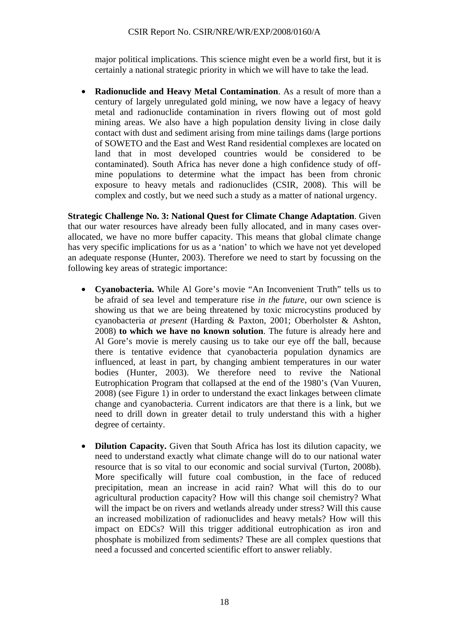major political implications. This science might even be a world first, but it is certainly a national strategic priority in which we will have to take the lead.

• **Radionuclide and Heavy Metal Contamination**. As a result of more than a century of largely unregulated gold mining, we now have a legacy of heavy metal and radionuclide contamination in rivers flowing out of most gold mining areas. We also have a high population density living in close daily contact with dust and sediment arising from mine tailings dams (large portions of SOWETO and the East and West Rand residential complexes are located on land that in most developed countries would be considered to be contaminated). South Africa has never done a high confidence study of offmine populations to determine what the impact has been from chronic exposure to heavy metals and radionuclides (CSIR, 2008). This will be complex and costly, but we need such a study as a matter of national urgency.

**Strategic Challenge No. 3: National Quest for Climate Change Adaptation**. Given that our water resources have already been fully allocated, and in many cases overallocated, we have no more buffer capacity. This means that global climate change has very specific implications for us as a 'nation' to which we have not yet developed an adequate response (Hunter, 2003). Therefore we need to start by focussing on the following key areas of strategic importance:

- **Cyanobacteria.** While Al Gore's movie "An Inconvenient Truth" tells us to be afraid of sea level and temperature rise *in the future*, our own science is showing us that we are being threatened by toxic microcystins produced by cyanobacteria *at present* (Harding & Paxton, 2001; Oberholster & Ashton, 2008) **to which we have no known solution**. The future is already here and Al Gore's movie is merely causing us to take our eye off the ball, because there is tentative evidence that cyanobacteria population dynamics are influenced, at least in part, by changing ambient temperatures in our water bodies (Hunter, 2003). We therefore need to revive the National Eutrophication Program that collapsed at the end of the 1980's (Van Vuuren, 2008) (see Figure 1) in order to understand the exact linkages between climate change and cyanobacteria. Current indicators are that there is a link, but we need to drill down in greater detail to truly understand this with a higher degree of certainty.
- **Dilution Capacity.** Given that South Africa has lost its dilution capacity, we need to understand exactly what climate change will do to our national water resource that is so vital to our economic and social survival (Turton, 2008b). More specifically will future coal combustion, in the face of reduced precipitation, mean an increase in acid rain? What will this do to our agricultural production capacity? How will this change soil chemistry? What will the impact be on rivers and wetlands already under stress? Will this cause an increased mobilization of radionuclides and heavy metals? How will this impact on EDCs? Will this trigger additional eutrophication as iron and phosphate is mobilized from sediments? These are all complex questions that need a focussed and concerted scientific effort to answer reliably.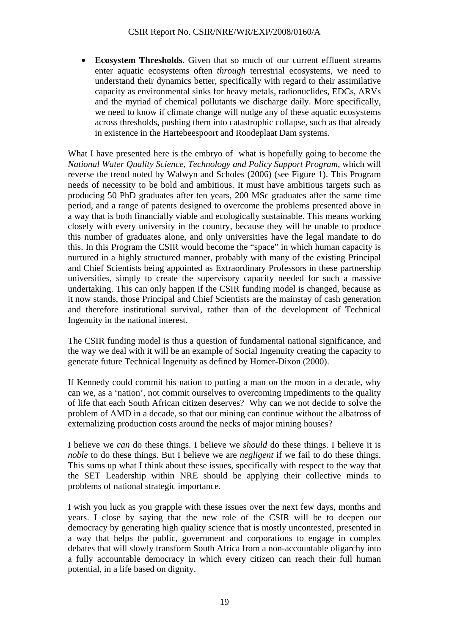• **Ecosystem Thresholds.** Given that so much of our current effluent streams enter aquatic ecosystems often *through* terrestrial ecosystems, we need to understand their dynamics better, specifically with regard to their assimilative capacity as environmental sinks for heavy metals, radionuclides, EDCs, ARVs and the myriad of chemical pollutants we discharge daily. More specifically, we need to know if climate change will nudge any of these aquatic ecosystems across thresholds, pushing them into catastrophic collapse, such as that already in existence in the Hartebeespoort and Roodeplaat Dam systems.

What I have presented here is the embryo of what is hopefully going to become the *National Water Quality Science, Technology and Policy Support Program*, which will reverse the trend noted by Walwyn and Scholes (2006) (see Figure 1). This Program needs of necessity to be bold and ambitious. It must have ambitious targets such as producing 50 PhD graduates after ten years, 200 MSc graduates after the same time period, and a range of patents designed to overcome the problems presented above in a way that is both financially viable and ecologically sustainable. This means working closely with every university in the country, because they will be unable to produce this number of graduates alone, and only universities have the legal mandate to do this. In this Program the CSIR would become the "space" in which human capacity is nurtured in a highly structured manner, probably with many of the existing Principal and Chief Scientists being appointed as Extraordinary Professors in these partnership universities, simply to create the supervisory capacity needed for such a massive undertaking. This can only happen if the CSIR funding model is changed, because as it now stands, those Principal and Chief Scientists are the mainstay of cash generation and therefore institutional survival, rather than of the development of Technical Ingenuity in the national interest.

The CSIR funding model is thus a question of fundamental national significance, and the way we deal with it will be an example of Social Ingenuity creating the capacity to generate future Technical Ingenuity as defined by Homer-Dixon (2000).

If Kennedy could commit his nation to putting a man on the moon in a decade, why can we, as a 'nation', not commit ourselves to overcoming impediments to the quality of life that each South African citizen deserves? Why can we not decide to solve the problem of AMD in a decade, so that our mining can continue without the albatross of externalizing production costs around the necks of major mining houses?

I believe we *can* do these things. I believe we *should* do these things. I believe it is *noble* to do these things. But I believe we are *negligent* if we fail to do these things. This sums up what I think about these issues, specifically with respect to the way that the SET Leadership within NRE should be applying their collective minds to problems of national strategic importance.

I wish you luck as you grapple with these issues over the next few days, months and years. I close by saying that the new role of the CSIR will be to deepen our democracy by generating high quality science that is mostly uncontested, presented in a way that helps the public, government and corporations to engage in complex debates that will slowly transform South Africa from a non-accountable oligarchy into a fully accountable democracy in which every citizen can reach their full human potential, in a life based on dignity.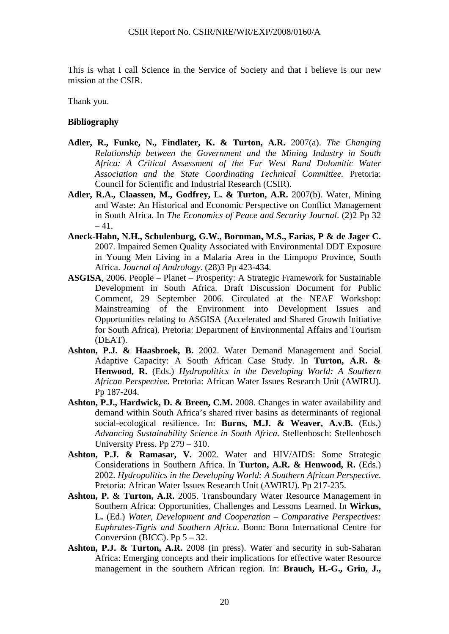This is what I call Science in the Service of Society and that I believe is our new mission at the CSIR.

Thank you.

#### **Bibliography**

- **Adler, R., Funke, N., Findlater, K. & Turton, A.R.** 2007(a). *The Changing Relationship between the Government and the Mining Industry in South Africa: A Critical Assessment of the Far West Rand Dolomitic Water Association and the State Coordinating Technical Committee.* Pretoria: Council for Scientific and Industrial Research (CSIR).
- **Adler, R.A., Claassen, M., Godfrey, L. & Turton, A.R.** 2007(b). Water, Mining and Waste: An Historical and Economic Perspective on Conflict Management in South Africa. In *The Economics of Peace and Security Journal*. (2)2 Pp 32  $-41.$
- **Aneck-Hahn, N.H., Schulenburg, G.W., Bornman, M.S., Farias, P & de Jager C.** 2007. Impaired Semen Quality Associated with Environmental DDT Exposure in Young Men Living in a Malaria Area in the Limpopo Province, South Africa. *Journal of Andrology*. (28)3 Pp 423-434.
- **ASGISA**, 2006. People Planet Prosperity: A Strategic Framework for Sustainable Development in South Africa. Draft Discussion Document for Public Comment, 29 September 2006. Circulated at the NEAF Workshop: Mainstreaming of the Environment into Development Issues and Opportunities relating to ASGISA (Accelerated and Shared Growth Initiative for South Africa). Pretoria: Department of Environmental Affairs and Tourism (DEAT).
- **Ashton, P.J. & Haasbroek, B.** 2002. Water Demand Management and Social Adaptive Capacity: A South African Case Study. In **Turton, A.R. & Henwood, R.** (Eds.) *Hydropolitics in the Developing World: A Southern African Perspective*. Pretoria: African Water Issues Research Unit (AWIRU). Pp 187-204.
- **Ashton, P.J., Hardwick, D. & Breen, C.M.** 2008. Changes in water availability and demand within South Africa's shared river basins as determinants of regional social-ecological resilience. In: **Burns, M.J. & Weaver, A.v.B.** (Eds.) *Advancing Sustainability Science in South Africa*. Stellenbosch: Stellenbosch University Press. Pp 279 – 310.
- **Ashton, P.J. & Ramasar, V.** 2002. Water and HIV/AIDS: Some Strategic Considerations in Southern Africa. In **Turton, A.R. & Henwood, R.** (Eds.) 2002. *Hydropolitics in the Developing World: A Southern African Perspective*. Pretoria: African Water Issues Research Unit (AWIRU). Pp 217-235.
- **Ashton, P. & Turton, A.R.** 2005. Transboundary Water Resource Management in Southern Africa: Opportunities, Challenges and Lessons Learned. In **Wirkus, L.** (Ed.) *Water, Development and Cooperation – Comparative Perspectives: Euphrates-Tigris and Southern Africa*. Bonn: Bonn International Centre for Conversion (BICC). Pp  $5 - 32$ .
- **Ashton, P.J. & Turton, A.R.** 2008 (in press). Water and security in sub-Saharan Africa: Emerging concepts and their implications for effective water Resource management in the southern African region. In: **Brauch, H.-G., Grin, J.,**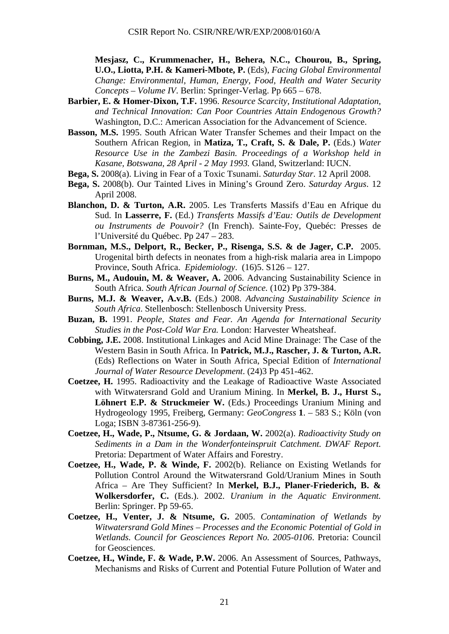**Mesjasz, C., Krummenacher, H., Behera, N.C., Chourou, B., Spring, U.O., Liotta, P.H. & Kameri-Mbote, P.** (Eds), *Facing Global Environmental Change: Environmental, Human, Energy, Food, Health and Water Security Concepts – Volume IV*. Berlin: Springer-Verlag. Pp 665 – 678.

- **Barbier, E. & Homer-Dixon, T.F.** 1996. *Resource Scarcity, Institutional Adaptation, and Technical Innovation: Can Poor Countries Attain Endogenous Growth?* Washington, D.C.: American Association for the Advancement of Science.
- **Basson, M.S.** 1995. South African Water Transfer Schemes and their Impact on the Southern African Region, in **Matiza, T., Craft, S. & Dale, P.** (Eds.) *Water Resource Use in the Zambezi Basin. Proceedings of a Workshop held in Kasane, Botswana, 28 April - 2 May 1993.* Gland, Switzerland: IUCN.
- **Bega, S.** 2008(a). Living in Fear of a Toxic Tsunami. *Saturday Star*. 12 April 2008.
- **Bega, S.** 2008(b). Our Tainted Lives in Mining's Ground Zero. *Saturday Argus*. 12 April 2008.
- **Blanchon, D. & Turton, A.R.** 2005. Les Transferts Massifs d'Eau en Afrique du Sud. In **Lasserre, F.** (Ed.) *Transferts Massifs d'Eau: Outils de Development ou Instruments de Pouvoir?* (In French). Sainte-Foy, Quebéc: Presses de l'Université du Québec. Pp 247 – 283.
- **Bornman, M.S., Delport, R., Becker, P., Risenga, S.S. & de Jager, C.P.** 2005. Urogenital birth defects in neonates from a high-risk malaria area in Limpopo Province, South Africa. *Epidemiology*. (16)5. S126 – 127.
- **Burns, M., Audouin, M. & Weaver, A.** 2006. Advancing Sustainability Science in South Africa. *South African Journal of Science.* (102) Pp 379-384.
- **Burns, M.J. & Weaver, A.v.B.** (Eds.) 2008. *Advancing Sustainability Science in South Africa*. Stellenbosch: Stellenbosch University Press.
- **Buzan, B.** 1991. *People, States and Fear. An Agenda for International Security Studies in the Post-Cold War Era.* London: Harvester Wheatsheaf.
- **Cobbing, J.E.** 2008. Institutional Linkages and Acid Mine Drainage: The Case of the Western Basin in South Africa. In **Patrick, M.J., Rascher, J. & Turton, A.R.** (Eds) Reflections on Water in South Africa, Special Edition of *International Journal of Water Resource Development*. (24)3 Pp 451-462.
- **Coetzee, H.** 1995. Radioactivity and the Leakage of Radioactive Waste Associated with Witwatersrand Gold and Uranium Mining. In **Merkel, B. J., Hurst S., Löhnert E.P. & Struckmeier W.** (Eds.) Proceedings Uranium Mining and Hydrogeology 1995, Freiberg, Germany: *GeoCongress* **1**. – 583 S.; Köln (von Loga; ISBN 3-87361-256-9).
- **Coetzee, H., Wade, P., Ntsume, G. & Jordaan, W.** 2002(a). *Radioactivity Study on Sediments in a Dam in the Wonderfonteinspruit Catchment. DWAF Report.* Pretoria: Department of Water Affairs and Forestry.
- **Coetzee, H., Wade, P. & Winde, F.** 2002(b). Reliance on Existing Wetlands for Pollution Control Around the Witwatersrand Gold/Uranium Mines in South Africa – Are They Sufficient? In **Merkel, B.J., Planer-Friederich, B. & Wolkersdorfer, C.** (Eds.). 2002. *Uranium in the Aquatic Environment.* Berlin: Springer. Pp 59-65.
- **Coetzee, H., Venter, J. & Ntsume, G.** 2005. *Contamination of Wetlands by Witwatersrand Gold Mines – Processes and the Economic Potential of Gold in Wetlands. Council for Geosciences Report No. 2005-0106*. Pretoria: Council for Geosciences.
- **Coetzee, H., Winde, F. & Wade, P.W.** 2006. An Assessment of Sources, Pathways, Mechanisms and Risks of Current and Potential Future Pollution of Water and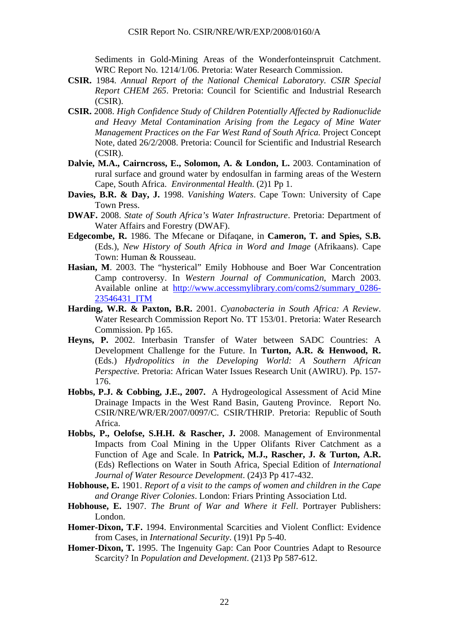Sediments in Gold-Mining Areas of the Wonderfonteinspruit Catchment. WRC Report No. 1214/1/06. Pretoria: Water Research Commission.

- **CSIR.** 1984. *Annual Report of the National Chemical Laboratory. CSIR Special Report CHEM 265*. Pretoria: Council for Scientific and Industrial Research (CSIR).
- **CSIR.** 2008. *High Confidence Study of Children Potentially Affected by Radionuclide and Heavy Metal Contamination Arising from the Legacy of Mine Water Management Practices on the Far West Rand of South Africa*. Project Concept Note, dated 26/2/2008. Pretoria: Council for Scientific and Industrial Research (CSIR).
- **Dalvie, M.A., Cairncross, E., Solomon, A. & London, L.** 2003. Contamination of rural surface and ground water by endosulfan in farming areas of the Western Cape, South Africa. *Environmental Health*. (2)1 Pp 1.
- **Davies, B.R. & Day, J.** 1998. *Vanishing Waters*. Cape Town: University of Cape Town Press.
- **DWAF.** 2008. *State of South Africa's Water Infrastructure*. Pretoria: Department of Water Affairs and Forestry (DWAF).
- **Edgecombe, R.** 1986. The Mfecane or Difaqane, in **Cameron, T. and Spies, S.B.** (Eds.), *New History of South Africa in Word and Image* (Afrikaans). Cape Town: Human & Rousseau.
- **Hasian, M**. 2003. The "hysterical" Emily Hobhouse and Boer War Concentration Camp controversy. In *Western Journal of Communication*, March 2003. Available online at http://www.accessmylibrary.com/coms2/summary\_0286- 23546431\_ITM
- **Harding, W.R. & Paxton, B.R.** 2001. *Cyanobacteria in South Africa: A Review*. Water Research Commission Report No. TT 153/01. Pretoria: Water Research Commission. Pp 165.
- **Heyns, P.** 2002. Interbasin Transfer of Water between SADC Countries: A Development Challenge for the Future. In **Turton, A.R. & Henwood, R.** (Eds.) *Hydropolitics in the Developing World: A Southern African Perspective.* Pretoria: African Water Issues Research Unit (AWIRU). Pp. 157- 176.
- **Hobbs, P.J. & Cobbing, J.E., 2007.** A Hydrogeological Assessment of Acid Mine Drainage Impacts in the West Rand Basin, Gauteng Province. Report No. CSIR/NRE/WR/ER/2007/0097/C. CSIR/THRIP. Pretoria: Republic of South Africa.
- **Hobbs, P., Oelofse, S.H.H. & Rascher, J.** 2008. Management of Environmental Impacts from Coal Mining in the Upper Olifants River Catchment as a Function of Age and Scale. In **Patrick, M.J., Rascher, J. & Turton, A.R.** (Eds) Reflections on Water in South Africa, Special Edition of *International Journal of Water Resource Development*. (24)3 Pp 417-432.
- **Hobhouse, E.** 1901. *Report of a visit to the camps of women and children in the Cape and Orange River Colonies*. London: Friars Printing Association Ltd.
- **Hobhouse, E.** 1907. *The Brunt of War and Where it Fell*. Portrayer Publishers: London.
- **Homer-Dixon, T.F.** 1994. Environmental Scarcities and Violent Conflict: Evidence from Cases, in *International Security*. (19)1 Pp 5-40.
- **Homer-Dixon, T.** 1995. The Ingenuity Gap: Can Poor Countries Adapt to Resource Scarcity? In *Population and Development*. (21)3 Pp 587-612.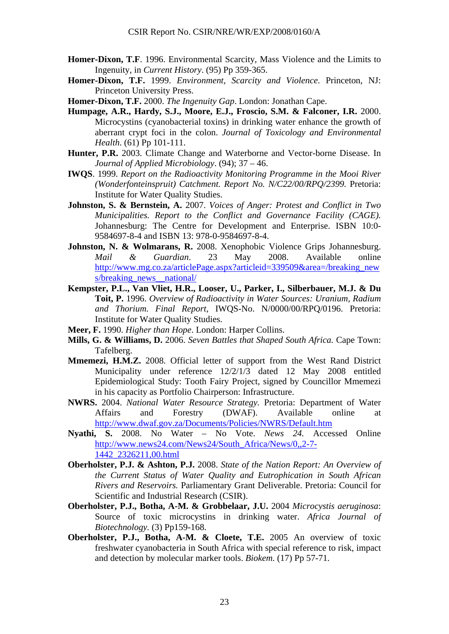- **Homer-Dixon, T.F**. 1996. Environmental Scarcity, Mass Violence and the Limits to Ingenuity, in *Current History*. (95) Pp 359-365.
- **Homer-Dixon, T.F.** 1999. *Environment, Scarcity and Violence*. Princeton, NJ: Princeton University Press.
- **Homer-Dixon, T.F.** 2000. *The Ingenuity Gap*. London: Jonathan Cape.
- **Humpage, A.R., Hardy, S.J., Moore, E.J., Froscio, S.M. & Falconer, I.R.** 2000. Microcystins (cyanobacterial toxins) in drinking water enhance the growth of aberrant crypt foci in the colon. *Journal of Toxicology and Environmental Health*. (61) Pp 101-111.
- **Hunter, P.R.** 2003. Climate Change and Waterborne and Vector-borne Disease. In *Journal of Applied Microbiology*. (94); 37 – 46.
- **IWQS**. 1999. *Report on the Radioactivity Monitoring Programme in the Mooi River (Wonderfonteinspruit) Catchment. Report No. N/C22/00/RPQ/2399.* Pretoria: Institute for Water Quality Studies.
- **Johnston, S. & Bernstein, A.** 2007. *Voices of Anger: Protest and Conflict in Two Municipalities. Report to the Conflict and Governance Facility (CAGE).* Johannesburg: The Centre for Development and Enterprise. ISBN 10:0- 9584697-8-4 and ISBN 13: 978-0-9584697-8-4.
- **Johnston, N. & Wolmarans, R.** 2008. Xenophobic Violence Grips Johannesburg. *Mail & Guardian*. 23 May 2008. Available online http://www.mg.co.za/articlePage.aspx?articleid=339509&area=/breaking\_new s/breaking\_news\_national/
- **Kempster, P.L., Van Vliet, H.R., Looser, U., Parker, I., Silberbauer, M.J. & Du Toit, P.** 1996. *Overview of Radioactivity in Water Sources: Uranium, Radium and Thorium. Final Report*, IWQS-No. N/0000/00/RPQ/0196. Pretoria: Institute for Water Quality Studies.
- **Meer, F.** 1990. *Higher than Hope*. London: Harper Collins.
- **Mills, G. & Williams, D.** 2006. *Seven Battles that Shaped South Africa.* Cape Town: Tafelberg.
- **Mmemezi, H.M.Z.** 2008. Official letter of support from the West Rand District Municipality under reference 12/2/1/3 dated 12 May 2008 entitled Epidemiological Study: Tooth Fairy Project, signed by Councillor Mmemezi in his capacity as Portfolio Chairperson: Infrastructure.
- **NWRS.** 2004. *National Water Resource Strategy.* Pretoria: Department of Water Affairs and Forestry (DWAF). Available online at http://www.dwaf.gov.za/Documents/Policies/NWRS/Default.htm
- **Nyathi, S.** 2008. No Water No Vote. *News 24.* Accessed Online http://www.news24.com/News24/South\_Africa/News/0,,2-7- 1442\_2326211,00.html
- **Oberholster, P.J. & Ashton, P.J.** 2008. *State of the Nation Report: An Overview of the Current Status of Water Quality and Eutrophication in South African Rivers and Reservoirs.* Parliamentary Grant Deliverable. Pretoria: Council for Scientific and Industrial Research (CSIR).
- **Oberholster, P.J., Botha, A-M. & Grobbelaar, J.U.** 2004 *Microcystis aeruginosa*: Source of toxic microcystins in drinking water. *Africa Journal of Biotechnology.* (3) Pp159-168.
- **Oberholster, P.J., Botha, A-M. & Cloete, T.E.** 2005 An overview of toxic freshwater cyanobacteria in South Africa with special reference to risk, impact and detection by molecular marker tools. *Biokem.* (17) Pp 57-71.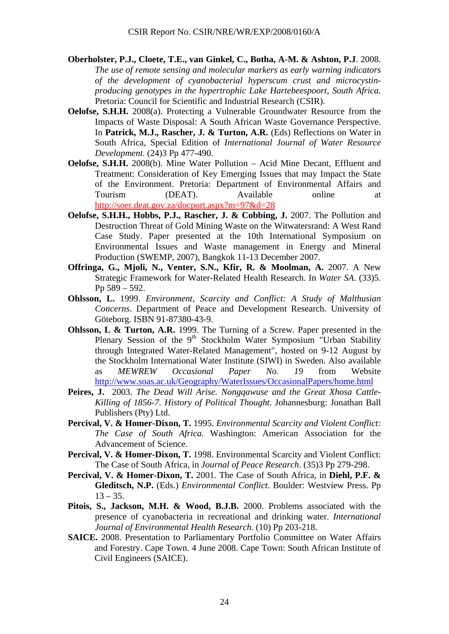- **Oberholster, P.J., Cloete, T.E., van Ginkel, C., Botha, A-M. & Ashton, P.J**. 2008. *The use of remote sensing and molecular markers as early warning indicators of the development of cyanobacterial hyperscum crust and microcystinproducing genotypes in the hypertrophic Lake Hartebeespoort, South Africa.* Pretoria: Council for Scientific and Industrial Research (CSIR).
- **Oelofse, S.H.H.** 2008(a). Protecting a Vulnerable Groundwater Resource from the Impacts of Waste Disposal: A South African Waste Governance Perspective. In **Patrick, M.J., Rascher, J. & Turton, A.R.** (Eds) Reflections on Water in South Africa, Special Edition of *International Journal of Water Resource Development*. (24)3 Pp 477-490.
- **Oelofse, S.H.H.** 2008(b). Mine Water Pollution Acid Mine Decant, Effluent and Treatment: Consideration of Key Emerging Issues that may Impact the State of the Environment. Pretoria: Department of Environmental Affairs and Tourism (DEAT). Available online at http://soer.deat.gov.za/docport.aspx?m=97&d=28
- **Oelofse, S.H.H., Hobbs, P.J., Rascher, J. & Cobbing, J.** 2007. The Pollution and Destruction Threat of Gold Mining Waste on the Witwatersrand: A West Rand Case Study. Paper presented at the 10th International Symposium on Environmental Issues and Waste management in Energy and Mineral Production (SWEMP, 2007), Bangkok 11-13 December 2007.
- **Offringa, G., Mjoli, N., Venter, S.N., Kfir, R. & Moolman, A.** 2007. A New Strategic Framework for Water-Related Health Research. In *Water SA*. (33)5. Pp 589 – 592.
- **Ohlsson, L.** 1999. *Environment, Scarcity and Conflict: A Study of Malthusian Concerns*. Department of Peace and Development Research. University of Göteborg. ISBN 91-87380-43-9.
- **Ohlsson, L & Turton, A.R.** 1999. The Turning of a Screw. Paper presented in the Plenary Session of the 9<sup>th</sup> Stockholm Water Symposium "Urban Stability" through Integrated Water-Related Management", hosted on 9-12 August by the Stockholm International Water Institute (SIWI) in Sweden. Also available as *MEWREW Occasional Paper No. 19* from Website http://www.soas.ac.uk/Geography/WaterIssues/OccasionalPapers/home.html
- **Peires, J.** 2003. *The Dead Will Arise. Nongqawuse and the Great Xhosa Cattle-Killing of 1856-7. History of Political Thought*. Johannesburg: Jonathan Ball Publishers (Pty) Ltd.
- **Percival, V. & Homer-Dixon, T.** 1995. *Environmental Scarcity and Violent Conflict: The Case of South Africa.* Washington: American Association for the Advancement of Science.
- **Percival, V. & Homer-Dixon, T.** 1998. Environmental Scarcity and Violent Conflict: The Case of South Africa, in *Journal of Peace Research*. (35)3 Pp 279-298.
- **Percival, V. & Homer-Dixon, T.** 2001. The Case of South Africa, in **Diehl, P.F. & Gleditsch, N.P.** (Eds.) *Environmental Conflict*. Boulder: Westview Press. Pp  $13 - 35.$
- **Pitois, S., Jackson, M.H. & Wood, B.J.B.** 2000. Problems associated with the presence of cyanobacteria in recreational and drinking water. *International Journal of Environmental Health Research*. (10) Pp 203-218.
- **SAICE.** 2008. Presentation to Parliamentary Portfolio Committee on Water Affairs and Forestry. Cape Town. 4 June 2008. Cape Town: South African Institute of Civil Engineers (SAICE).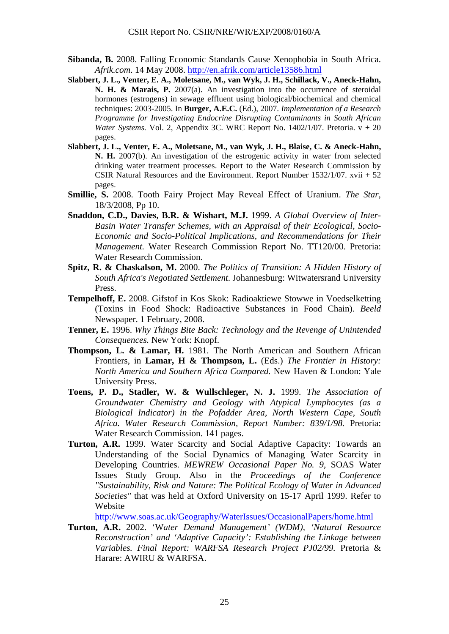- **Sibanda, B.** 2008. Falling Economic Standards Cause Xenophobia in South Africa. *Afrik.com*. 14 May 2008. http://en.afrik.com/article13586.html
- **Slabbert, J. L., Venter, E. A., Moletsane, M., van Wyk, J. H., Schillack, V., Aneck-Hahn, N. H. & Marais, P.** 2007(a). An investigation into the occurrence of steroidal hormones (estrogens) in sewage effluent using biological/biochemical and chemical techniques: 2003-2005. In **Burger, A.E.C.** (Ed.), 2007. *Implementation of a Research Programme for Investigating Endocrine Disrupting Contaminants in South African Water Systems.* Vol. 2, Appendix 3C. WRC Report No. 1402/1/07. Pretoria. v + 20 pages.
- **Slabbert, J. L., Venter, E. A., Moletsane, M., van Wyk, J. H., Blaise, C. & Aneck-Hahn, N. H.** 2007(b). An investigation of the estrogenic activity in water from selected drinking water treatment processes. Report to the Water Research Commission by CSIR Natural Resources and the Environment. Report Number 1532/1/07. xvii + 52 pages.
- **Smillie, S.** 2008. Tooth Fairy Project May Reveal Effect of Uranium. *The Star,* 18/3/2008, Pp 10.
- **Snaddon, C.D., Davies, B.R. & Wishart, M.J.** 1999. *A Global Overview of Inter-Basin Water Transfer Schemes, with an Appraisal of their Ecological, Socio-Economic and Socio-Political Implications, and Recommendations for Their Management.* Water Research Commission Report No. TT120/00. Pretoria: Water Research Commission.
- **Spitz, R. & Chaskalson, M.** 2000. *The Politics of Transition: A Hidden History of South Africa's Negotiated Settlement*. Johannesburg: Witwatersrand University Press.
- **Tempelhoff, E.** 2008. Gifstof in Kos Skok: Radioaktiewe Stowwe in Voedselketting (Toxins in Food Shock: Radioactive Substances in Food Chain). *Beeld* Newspaper. 1 February, 2008.
- **Tenner, E.** 1996. *Why Things Bite Back: Technology and the Revenge of Unintended Consequences.* New York: Knopf.
- **Thompson, L. & Lamar, H.** 1981. The North American and Southern African Frontiers, in **Lamar, H & Thompson, L.** (Eds.) *The Frontier in History: North America and Southern Africa Compared.* New Haven & London: Yale University Press.
- **Toens, P. D., Stadler, W. & Wullschleger, N. J.** 1999. *The Association of Groundwater Chemistry and Geology with Atypical Lymphocytes (as a Biological Indicator) in the Pofadder Area, North Western Cape, South Africa. Water Research Commission, Report Number: 839/1/98.* Pretoria: Water Research Commission. 141 pages.
- **Turton, A.R.** 1999. Water Scarcity and Social Adaptive Capacity: Towards an Understanding of the Social Dynamics of Managing Water Scarcity in Developing Countries. *MEWREW Occasional Paper No. 9*, SOAS Water Issues Study Group. Also in the *Proceedings of the Conference "Sustainability, Risk and Nature: The Political Ecology of Water in Advanced Societies"* that was held at Oxford University on 15-17 April 1999. Refer to Website

http://www.soas.ac.uk/Geography/WaterIssues/OccasionalPapers/home.html

**Turton, A.R.** 2002. 'W*ater Demand Management' (WDM), 'Natural Resource Reconstruction' and 'Adaptive Capacity': Establishing the Linkage between Variables. Final Report: WARFSA Research Project PJ02/99.* Pretoria & Harare: AWIRU & WARFSA.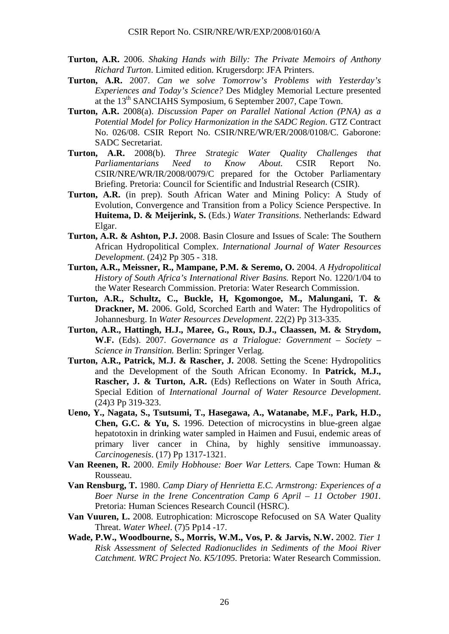- **Turton, A.R.** 2006. *Shaking Hands with Billy: The Private Memoirs of Anthony Richard Turton*. Limited edition. Krugersdorp: JFA Printers.
- **Turton, A.R.** 2007. *Can we solve Tomorrow's Problems with Yesterday's Experiences and Today's Science?* Des Midgley Memorial Lecture presented at the 13<sup>th</sup> SANCIAHS Symposium, 6 September 2007, Cape Town.
- **Turton, A.R.** 2008(a). *Discussion Paper on Parallel National Action (PNA) as a Potential Model for Policy Harmonization in the SADC Region*. GTZ Contract No. 026/08. CSIR Report No. CSIR/NRE/WR/ER/2008/0108/C. Gaborone: SADC Secretariat.
- **Turton, A.R.** 2008(b). *Three Strategic Water Quality Challenges that Parliamentarians Need to Know About.* CSIR Report No. CSIR/NRE/WR/IR/2008/0079/C prepared for the October Parliamentary Briefing. Pretoria: Council for Scientific and Industrial Research (CSIR).
- **Turton, A.R.** (in prep). South African Water and Mining Policy: A Study of Evolution, Convergence and Transition from a Policy Science Perspective. In **Huitema, D. & Meijerink, S.** (Eds.) *Water Transitions*. Netherlands: Edward Elgar.
- **Turton, A.R. & Ashton, P.J.** 2008. Basin Closure and Issues of Scale: The Southern African Hydropolitical Complex. *International Journal of Water Resources Development.* (24)2 Pp 305 - 318.
- **Turton, A.R., Meissner, R., Mampane, P.M. & Seremo, O.** 2004. *A Hydropolitical History of South Africa's International River Basins.* Report No. 1220/1/04 to the Water Research Commission. Pretoria: Water Research Commission.
- **Turton, A.R., Schultz, C., Buckle, H, Kgomongoe, M., Malungani, T. & Drackner, M.** 2006. Gold, Scorched Earth and Water: The Hydropolitics of Johannesburg. In *Water Resources Development*. 22(2) Pp 313-335.
- **Turton, A.R., Hattingh, H.J., Maree, G., Roux, D.J., Claassen, M. & Strydom, W.F.** (Eds). 2007. *Governance as a Trialogue: Government – Society – Science in Transition.* Berlin: Springer Verlag.
- **Turton, A.R., Patrick, M.J. & Rascher, J.** 2008. Setting the Scene: Hydropolitics and the Development of the South African Economy. In **Patrick, M.J., Rascher, J. & Turton, A.R.** (Eds) Reflections on Water in South Africa, Special Edition of *International Journal of Water Resource Development*. (24)3 Pp 319-323.
- **Ueno, Y., Nagata, S., Tsutsumi, T., Hasegawa, A., Watanabe, M.F., Park, H.D., Chen, G.C. & Yu, S.** 1996. Detection of microcystins in blue-green algae hepatotoxin in drinking water sampled in Haimen and Fusui, endemic areas of primary liver cancer in China, by highly sensitive immunoassay. *Carcinogenesis*. (17) Pp 1317-1321.
- **Van Reenen, R.** 2000. *Emily Hobhouse: Boer War Letters.* Cape Town: Human & Rousseau.
- **Van Rensburg, T.** 1980. *Camp Diary of Henrietta E.C. Armstrong: Experiences of a Boer Nurse in the Irene Concentration Camp 6 April – 11 October 1901.* Pretoria: Human Sciences Research Council (HSRC).
- **Van Vuuren, L.** 2008. Eutrophication: Microscope Refocused on SA Water Quality Threat. *Water Wheel*. (7)5 Pp14 -17.
- **Wade, P.W., Woodbourne, S., Morris, W.M., Vos, P. & Jarvis, N.W.** 2002. *Tier 1 Risk Assessment of Selected Radionuclides in Sediments of the Mooi River Catchment. WRC Project No. K5/1095.* Pretoria: Water Research Commission.